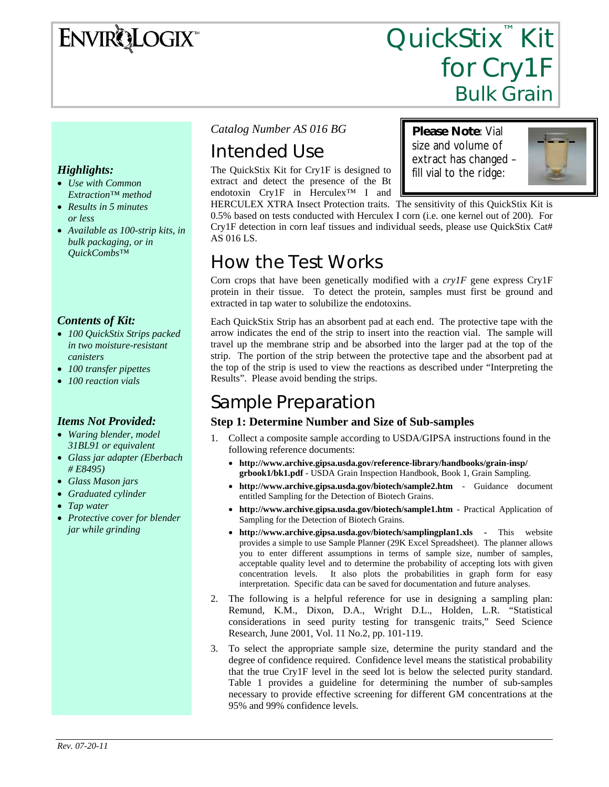# ENVIRQLOGIX

# QuickStix<sup>™</sup> Kit for Cry1F Bulk Grain

**Please Note**: Vial size and volume of extract has changed – fill vial to the ridge:

#### *Highlights:*

- *Use with Common Extraction™ method*
- *Results in 5 minutes or less*
- *Available as 100-strip kits, in bulk packaging, or in QuickCombs™*

#### *Contents of Kit:*

- *100 QuickStix Strips packed in two moisture-resistant canisters*
- *100 transfer pipettes*
- *100 reaction vials*

#### *Items Not Provided:*

- *Waring blender, model 31BL91 or equivalent*
- *Glass jar adapter (Eberbach # E8495)*
- *Glass Mason jars*
- *Graduated cylinder*
- *Tap water*
- *Protective cover for blender jar while grinding*

#### *Catalog Number AS 016 BG*

# Intended Use

The QuickStix Kit for Cry1F is designed to extract and detect the presence of the Bt endotoxin Cry1F in Herculex™ I and

HERCULEX XTRA Insect Protection traits. The sensitivity of this QuickStix Kit is 0.5% based on tests conducted with Herculex I corn (i.e. one kernel out of 200). For Cry1F detection in corn leaf tissues and individual seeds, please use QuickStix Cat# AS 016 LS.

### How the Test Works

Corn crops that have been genetically modified with a *cry1F* gene express Cry1F protein in their tissue. To detect the protein, samples must first be ground and extracted in tap water to solubilize the endotoxins.

Each QuickStix Strip has an absorbent pad at each end. The protective tape with the arrow indicates the end of the strip to insert into the reaction vial. The sample will travel up the membrane strip and be absorbed into the larger pad at the top of the strip. The portion of the strip between the protective tape and the absorbent pad at the top of the strip is used to view the reactions as described under "Interpreting the Results". Please avoid bending the strips.

## Sample Preparation

#### **Step 1: Determine Number and Size of Sub-samples**

- 1. Collect a composite sample according to USDA/GIPSA instructions found in the following reference documents:
	- **http://www.archive.gipsa.usda.gov/reference-library/handbooks/grain-insp/ grbook1/bk1.pdf** - USDA Grain Inspection Handbook, Book 1, Grain Sampling.
	- **http://www.archive.gipsa.usda.gov/biotech/sample2.htm** Guidance document entitled Sampling for the Detection of Biotech Grains.
	- **http://www.archive.gipsa.usda.gov/biotech/sample1.htm** Practical Application of Sampling for the Detection of Biotech Grains.
	- **http://www.archive.gipsa.usda.gov/biotech/samplingplan1.xls** This website provides a simple to use Sample Planner (29K Excel Spreadsheet). The planner allows you to enter different assumptions in terms of sample size, number of samples, acceptable quality level and to determine the probability of accepting lots with given concentration levels. It also plots the probabilities in graph form for easy interpretation. Specific data can be saved for documentation and future analyses.
- 2. The following is a helpful reference for use in designing a sampling plan: Remund, K.M., Dixon, D.A., Wright D.L., Holden, L.R. "Statistical considerations in seed purity testing for transgenic traits," Seed Science Research, June 2001, Vol. 11 No.2, pp. 101-119.
- 3. To select the appropriate sample size, determine the purity standard and the degree of confidence required. Confidence level means the statistical probability that the true Cry1F level in the seed lot is below the selected purity standard. Table 1 provides a guideline for determining the number of sub-samples necessary to provide effective screening for different GM concentrations at the 95% and 99% confidence levels.

*Rev. 07-20-11*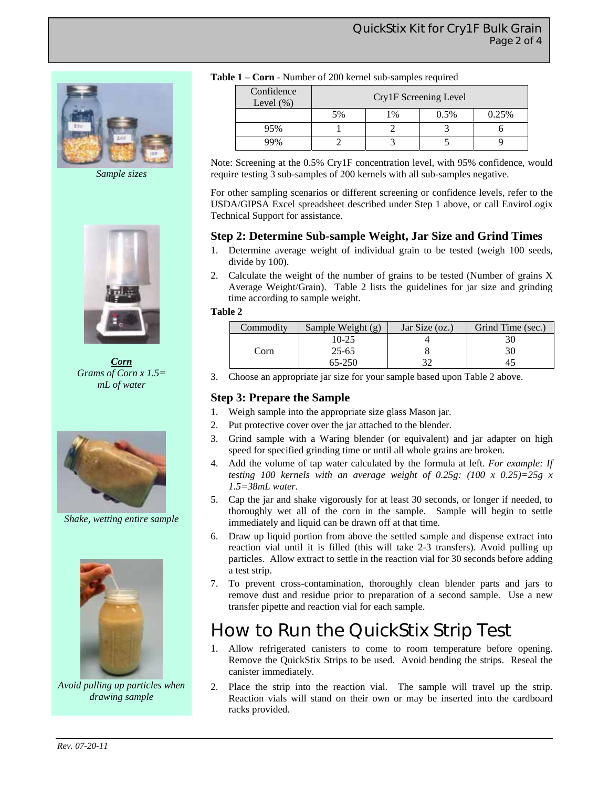

*Sample sizes* 



*Corn Grams of Corn x 1.5= mL of water* 



*Shake, wetting entire sample* 



*Avoid pulling up particles when drawing sample* 

|  |  |  |  |  | <b>Table 1 – Corn</b> - Number of 200 kernel sub-samples required |
|--|--|--|--|--|-------------------------------------------------------------------|
|--|--|--|--|--|-------------------------------------------------------------------|

| Confidence<br>Level $(\%)$ | Cry1F Screening Level |       |      |       |  |
|----------------------------|-----------------------|-------|------|-------|--|
|                            | 5%                    | $1\%$ | 0.5% | 0.25% |  |
| 95%                        |                       |       |      |       |  |
| 99%                        |                       |       |      |       |  |

Note: Screening at the 0.5% Cry1F concentration level, with 95% confidence, would require testing 3 sub-samples of 200 kernels with all sub-samples negative.

For other sampling scenarios or different screening or confidence levels, refer to the USDA/GIPSA Excel spreadsheet described under Step 1 above, or call EnviroLogix Technical Support for assistance.

#### **Step 2: Determine Sub-sample Weight, Jar Size and Grind Times**

- 1. Determine average weight of individual grain to be tested (weigh 100 seeds, divide by 100).
- 2. Calculate the weight of the number of grains to be tested (Number of grains X Average Weight/Grain). Table 2 lists the guidelines for jar size and grinding time according to sample weight.

#### **Table 2**

| Commodity | Sample Weight $(g)$ | Jar Size (oz.) | Grind Time (sec.) |
|-----------|---------------------|----------------|-------------------|
|           | $10-25$             |                |                   |
| Corn      | $25 - 65$           |                | 30                |
|           | 65-250              |                |                   |

3. Choose an appropriate jar size for your sample based upon Table 2 above.

#### **Step 3: Prepare the Sample**

- 1. Weigh sample into the appropriate size glass Mason jar.
- 2. Put protective cover over the jar attached to the blender.
- 3. Grind sample with a Waring blender (or equivalent) and jar adapter on high speed for specified grinding time or until all whole grains are broken.
- 4. Add the volume of tap water calculated by the formula at left. *For example: If testing 100 kernels with an average weight of 0.25g: (100 x 0.25)=25g x 1.5=38mL water.*
- 5. Cap the jar and shake vigorously for at least 30 seconds, or longer if needed, to thoroughly wet all of the corn in the sample. Sample will begin to settle immediately and liquid can be drawn off at that time.
- 6. Draw up liquid portion from above the settled sample and dispense extract into reaction vial until it is filled (this will take 2-3 transfers). Avoid pulling up particles. Allow extract to settle in the reaction vial for 30 seconds before adding a test strip.
- 7. To prevent cross-contamination, thoroughly clean blender parts and jars to remove dust and residue prior to preparation of a second sample. Use a new transfer pipette and reaction vial for each sample.

### How to Run the QuickStix Strip Test

- 1. Allow refrigerated canisters to come to room temperature before opening. Remove the QuickStix Strips to be used. Avoid bending the strips. Reseal the canister immediately.
- 2. Place the strip into the reaction vial. The sample will travel up the strip. Reaction vials will stand on their own or may be inserted into the cardboard racks provided.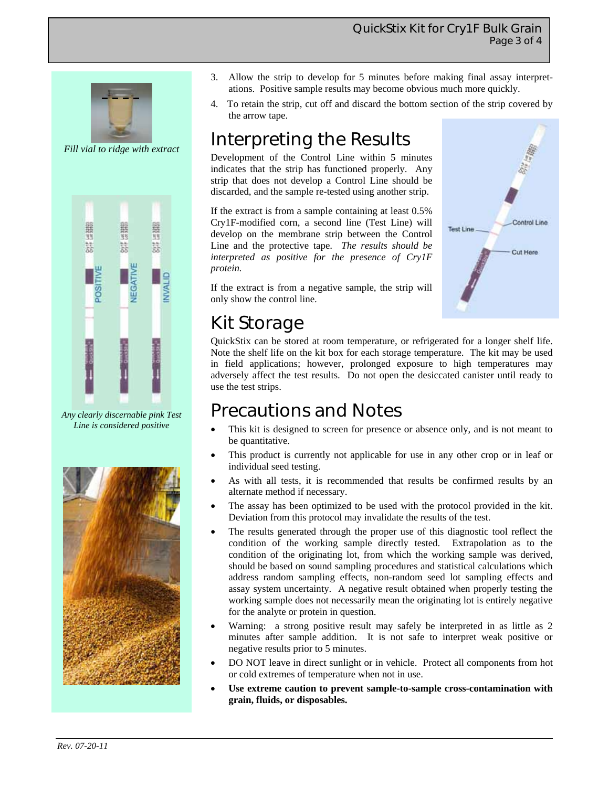#### QuickStix Kit for Cry1F Bulk Grain Page 3 of 4

**Test Line** 

Control Line

Cut Here



*Fill vial to ridge with extract* 



*Any clearly discernable pink Test Line is considered positive* 



- 3. Allow the strip to develop for 5 minutes before making final assay interpretations. Positive sample results may become obvious much more quickly.
- 4. To retain the strip, cut off and discard the bottom section of the strip covered by the arrow tape.

# Interpreting the Results

Development of the Control Line within 5 minutes indicates that the strip has functioned properly. Any strip that does not develop a Control Line should be discarded, and the sample re-tested using another strip.

If the extract is from a sample containing at least 0.5% Cry1F-modified corn, a second line (Test Line) will develop on the membrane strip between the Control Line and the protective tape. *The results should be interpreted as positive for the presence of Cry1F protein.* 

If the extract is from a negative sample, the strip will only show the control line.

# Kit Storage

QuickStix can be stored at room temperature, or refrigerated for a longer shelf life. Note the shelf life on the kit box for each storage temperature. The kit may be used in field applications; however, prolonged exposure to high temperatures may adversely affect the test results. Do not open the desiccated canister until ready to use the test strips.

### Precautions and Notes

- This kit is designed to screen for presence or absence only, and is not meant to be quantitative.
- This product is currently not applicable for use in any other crop or in leaf or individual seed testing.
- As with all tests, it is recommended that results be confirmed results by an alternate method if necessary.
- The assay has been optimized to be used with the protocol provided in the kit. Deviation from this protocol may invalidate the results of the test.
- The results generated through the proper use of this diagnostic tool reflect the condition of the working sample directly tested. Extrapolation as to the condition of the originating lot, from which the working sample was derived, should be based on sound sampling procedures and statistical calculations which address random sampling effects, non-random seed lot sampling effects and assay system uncertainty. A negative result obtained when properly testing the working sample does not necessarily mean the originating lot is entirely negative for the analyte or protein in question.
- Warning: a strong positive result may safely be interpreted in as little as 2 minutes after sample addition. It is not safe to interpret weak positive or negative results prior to 5 minutes.
- DO NOT leave in direct sunlight or in vehicle. Protect all components from hot or cold extremes of temperature when not in use.
- Use extreme caution to prevent sample-to-sample cross-contamination with **grain, fluids, or disposables.**